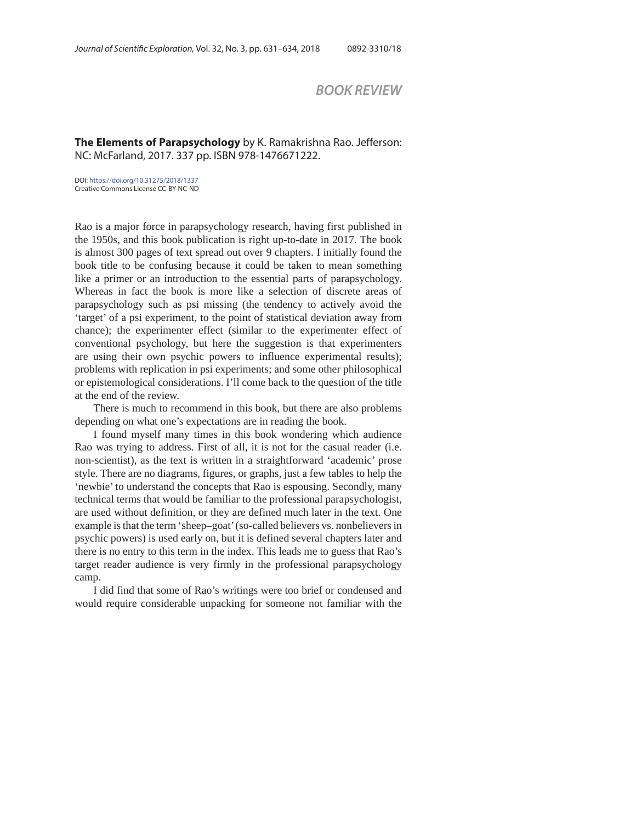## *BOOK REVIEW*

## **The Elements of Parapsychology** by K. Ramakrishna Rao. Jefferson: NC: McFarland, 2017. 337 pp. ISBN 978-1476671222.

DOI: https://doi.org/10.31275/2018/1337 Creative Commons License CC-BY-NC-ND

Rao is a major force in parapsychology research, having first published in the 1950s, and this book publication is right up-to-date in 2017. The book is almost 300 pages of text spread out over 9 chapters. I initially found the book title to be confusing because it could be taken to mean something like a primer or an introduction to the essential parts of parapsychology. Whereas in fact the book is more like a selection of discrete areas of parapsychology such as psi missing (the tendency to actively avoid the 'target' of a psi experiment, to the point of statistical deviation away from chance); the experimenter effect (similar to the experimenter effect of conventional psychology, but here the suggestion is that experimenters are using their own psychic powers to influence experimental results); problems with replication in psi experiments; and some other philosophical or epistemological considerations. I'll come back to the question of the title at the end of the review.

There is much to recommend in this book, but there are also problems depending on what one's expectations are in reading the book.

I found myself many times in this book wondering which audience Rao was trying to address. First of all, it is not for the casual reader (i.e. non-scientist), as the text is written in a straightforward 'academic' prose style. There are no diagrams, figures, or graphs, just a few tables to help the 'newbie' to understand the concepts that Rao is espousing. Secondly, many technical terms that would be familiar to the professional parapsychologist, are used without definition, or they are defined much later in the text. One example is that the term 'sheep–goat' (so-called believers vs. nonbelievers in psychic powers) is used early on, but it is defined several chapters later and there is no entry to this term in the index. This leads me to guess that Rao's target reader audience is very firmly in the professional parapsychology camp.

I did find that some of Rao's writings were too brief or condensed and would require considerable unpacking for someone not familiar with the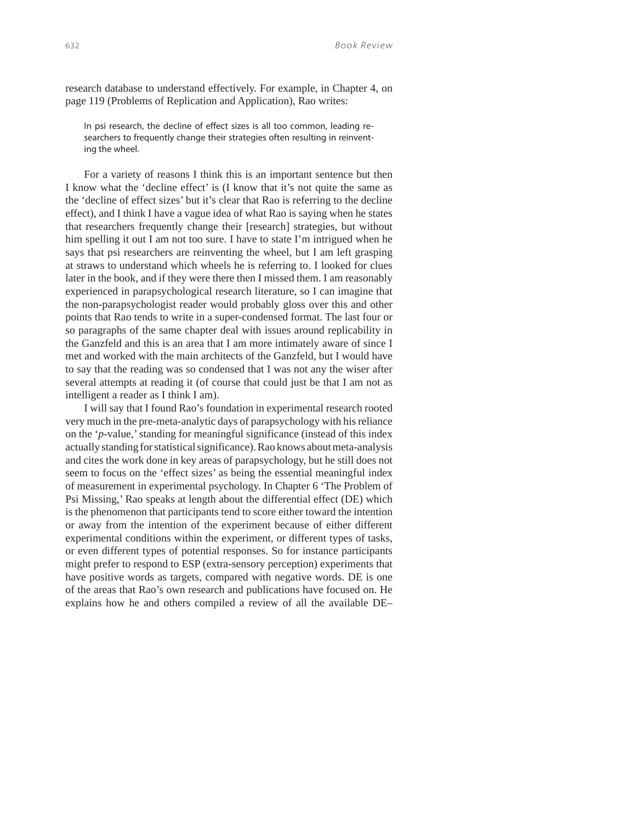research database to understand effectively. For example, in Chapter 4, on page 119 (Problems of Replication and Application), Rao writes:

In psi research, the decline of effect sizes is all too common, leading researchers to frequently change their strategies often resulting in reinventing the wheel.

For a variety of reasons I think this is an important sentence but then I know what the 'decline effect' is (I know that it's not quite the same as the 'decline of effect sizes' but it's clear that Rao is referring to the decline effect), and I think I have a vague idea of what Rao is saying when he states that researchers frequently change their [research] strategies, but without him spelling it out I am not too sure. I have to state I'm intrigued when he says that psi researchers are reinventing the wheel, but I am left grasping at straws to understand which wheels he is referring to. I looked for clues later in the book, and if they were there then I missed them. I am reasonably experienced in parapsychological research literature, so I can imagine that the non-parapsychologist reader would probably gloss over this and other points that Rao tends to write in a super-condensed format. The last four or so paragraphs of the same chapter deal with issues around replicability in the Ganzfeld and this is an area that I am more intimately aware of since I met and worked with the main architects of the Ganzfeld, but I would have to say that the reading was so condensed that I was not any the wiser after several attempts at reading it (of course that could just be that I am not as intelligent a reader as I think I am).

I will say that I found Rao's foundation in experimental research rooted very much in the pre-meta-analytic days of parapsychology with his reliance on the '*p*-value,' standing for meaningful significance (instead of this index actually standing for statistical significance). Rao knows about meta-analysis and cites the work done in key areas of parapsychology, but he still does not seem to focus on the 'effect sizes' as being the essential meaningful index of measurement in experimental psychology. In Chapter 6 'The Problem of Psi Missing,' Rao speaks at length about the differential effect (DE) which is the phenomenon that participants tend to score either toward the intention or away from the intention of the experiment because of either different experimental conditions within the experiment, or different types of tasks, or even different types of potential responses. So for instance participants might prefer to respond to ESP (extra-sensory perception) experiments that have positive words as targets, compared with negative words. DE is one of the areas that Rao's own research and publications have focused on. He explains how he and others compiled a review of all the available DE–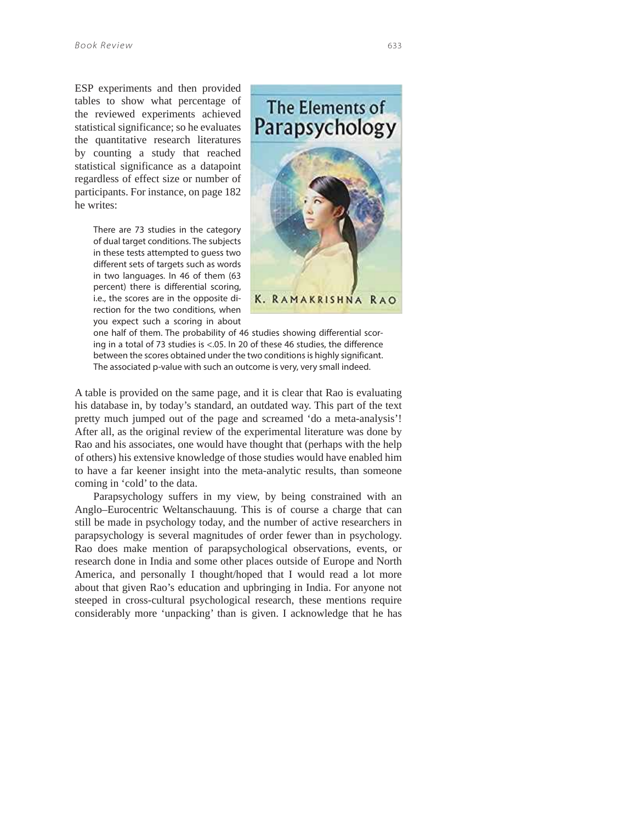ESP experiments and then provided tables to show what percentage of the reviewed experiments achieved statistical significance; so he evaluates the quantitative research literatures by counting a study that reached statistical significance as a datapoint regardless of effect size or number of participants. For instance, on page 182 he writes:

> There are 73 studies in the category of dual target conditions. The subjects in these tests attempted to guess two different sets of targets such as words in two languages. In 46 of them (63 percent) there is differential scoring, i.e., the scores are in the opposite direction for the two conditions, when you expect such a scoring in about



one half of them. The probability of 46 studies showing differential scoring in a total of 73 studies is <.05. In 20 of these 46 studies, the difference between the scores obtained under the two conditions is highly significant. The associated p-value with such an outcome is very, very small indeed.

A table is provided on the same page, and it is clear that Rao is evaluating his database in, by today's standard, an outdated way. This part of the text pretty much jumped out of the page and screamed 'do a meta-analysis'! After all, as the original review of the experimental literature was done by Rao and his associates, one would have thought that (perhaps with the help of others) his extensive knowledge of those studies would have enabled him to have a far keener insight into the meta-analytic results, than someone coming in 'cold' to the data.

Parapsychology suffers in my view, by being constrained with an Anglo–Eurocentric Weltanschauung. This is of course a charge that can still be made in psychology today, and the number of active researchers in parapsychology is several magnitudes of order fewer than in psychology. Rao does make mention of parapsychological observations, events, or research done in India and some other places outside of Europe and North America, and personally I thought/hoped that I would read a lot more about that given Rao's education and upbringing in India. For anyone not steeped in cross-cultural psychological research, these mentions require considerably more 'unpacking' than is given. I acknowledge that he has